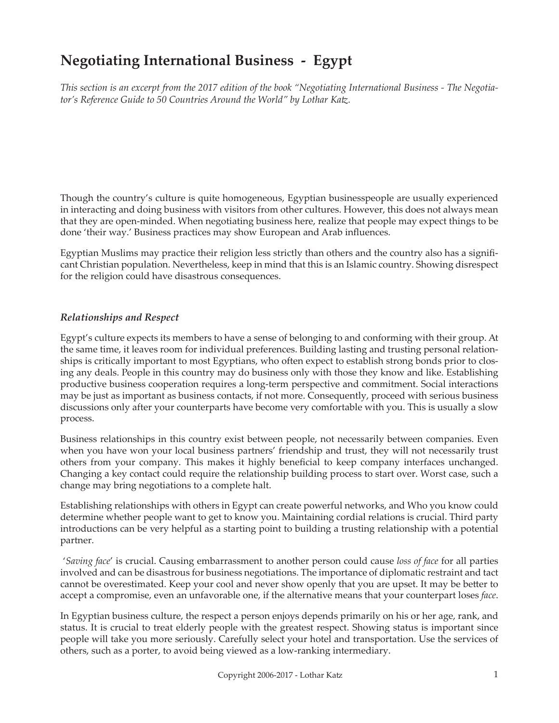# **Negotiating International Business - Egypt**

*This section is an excerpt from the 2017 edition of the book "Negotiating International Business - The Negotiator's Reference Guide to 50 Countries Around the World" by Lothar Katz.*

Though the country's culture is quite homogeneous, Egyptian businesspeople are usually experienced in interacting and doing business with visitors from other cultures. However, this does not always mean that they are open-minded. When negotiating business here, realize that people may expect things to be done 'their way.' Business practices may show European and Arab influences.

Egyptian Muslims may practice their religion less strictly than others and the country also has a significant Christian population. Nevertheless, keep in mind that this is an Islamic country. Showing disrespect for the religion could have disastrous consequences.

### *Relationships and Respect*

Egypt's culture expects its members to have a sense of belonging to and conforming with their group. At the same time, it leaves room for individual preferences. Building lasting and trusting personal relationships is critically important to most Egyptians, who often expect to establish strong bonds prior to closing any deals. People in this country may do business only with those they know and like. Establishing productive business cooperation requires a long-term perspective and commitment. Social interactions may be just as important as business contacts, if not more. Consequently, proceed with serious business discussions only after your counterparts have become very comfortable with you. This is usually a slow process.

Business relationships in this country exist between people, not necessarily between companies. Even when you have won your local business partners' friendship and trust, they will not necessarily trust others from your company. This makes it highly beneficial to keep company interfaces unchanged. Changing a key contact could require the relationship building process to start over. Worst case, such a change may bring negotiations to a complete halt.

Establishing relationships with others in Egypt can create powerful networks, and Who you know could determine whether people want to get to know you. Maintaining cordial relations is crucial. Third party introductions can be very helpful as a starting point to building a trusting relationship with a potential partner.

 '*Saving face*' is crucial. Causing embarrassment to another person could cause *loss of face* for all parties involved and can be disastrous for business negotiations. The importance of diplomatic restraint and tact cannot be overestimated. Keep your cool and never show openly that you are upset. It may be better to accept a compromise, even an unfavorable one, if the alternative means that your counterpart loses *face*.

In Egyptian business culture, the respect a person enjoys depends primarily on his or her age, rank, and status. It is crucial to treat elderly people with the greatest respect. Showing status is important since people will take you more seriously. Carefully select your hotel and transportation. Use the services of others, such as a porter, to avoid being viewed as a low-ranking intermediary.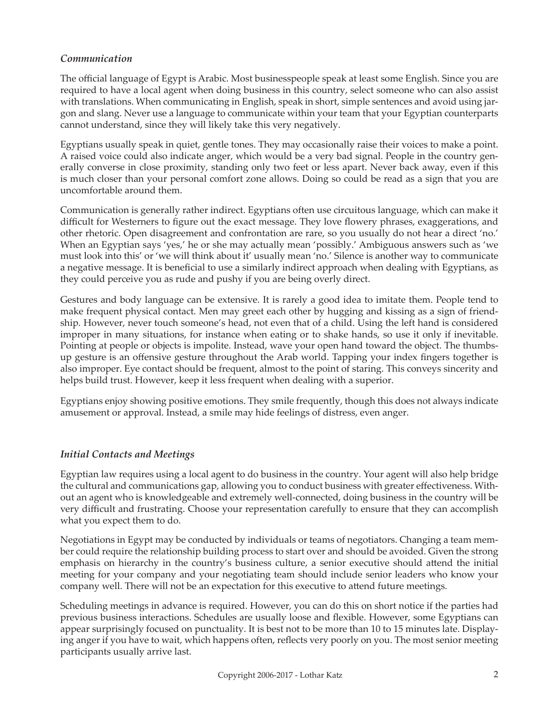## *Communication*

The official language of Egypt is Arabic. Most businesspeople speak at least some English. Since you are required to have a local agent when doing business in this country, select someone who can also assist with translations. When communicating in English, speak in short, simple sentences and avoid using jargon and slang. Never use a language to communicate within your team that your Egyptian counterparts cannot understand, since they will likely take this very negatively.

Egyptians usually speak in quiet, gentle tones. They may occasionally raise their voices to make a point. A raised voice could also indicate anger, which would be a very bad signal. People in the country generally converse in close proximity, standing only two feet or less apart. Never back away, even if this is much closer than your personal comfort zone allows. Doing so could be read as a sign that you are uncomfortable around them.

Communication is generally rather indirect. Egyptians often use circuitous language, which can make it difficult for Westerners to figure out the exact message. They love flowery phrases, exaggerations, and other rhetoric. Open disagreement and confrontation are rare, so you usually do not hear a direct 'no.' When an Egyptian says 'yes,' he or she may actually mean 'possibly.' Ambiguous answers such as 'we must look into this' or 'we will think about it' usually mean 'no.' Silence is another way to communicate a negative message. It is beneficial to use a similarly indirect approach when dealing with Egyptians, as they could perceive you as rude and pushy if you are being overly direct.

Gestures and body language can be extensive. It is rarely a good idea to imitate them. People tend to make frequent physical contact. Men may greet each other by hugging and kissing as a sign of friendship. However, never touch someone's head, not even that of a child. Using the left hand is considered improper in many situations, for instance when eating or to shake hands, so use it only if inevitable. Pointing at people or objects is impolite. Instead, wave your open hand toward the object. The thumbsup gesture is an offensive gesture throughout the Arab world. Tapping your index fingers together is also improper. Eye contact should be frequent, almost to the point of staring. This conveys sincerity and helps build trust. However, keep it less frequent when dealing with a superior.

Egyptians enjoy showing positive emotions. They smile frequently, though this does not always indicate amusement or approval. Instead, a smile may hide feelings of distress, even anger.

## *Initial Contacts and Meetings*

Egyptian law requires using a local agent to do business in the country. Your agent will also help bridge the cultural and communications gap, allowing you to conduct business with greater effectiveness. Without an agent who is knowledgeable and extremely well-connected, doing business in the country will be very difficult and frustrating. Choose your representation carefully to ensure that they can accomplish what you expect them to do.

Negotiations in Egypt may be conducted by individuals or teams of negotiators. Changing a team member could require the relationship building process to start over and should be avoided. Given the strong emphasis on hierarchy in the country's business culture, a senior executive should attend the initial meeting for your company and your negotiating team should include senior leaders who know your company well. There will not be an expectation for this executive to attend future meetings.

Scheduling meetings in advance is required. However, you can do this on short notice if the parties had previous business interactions. Schedules are usually loose and flexible. However, some Egyptians can appear surprisingly focused on punctuality. It is best not to be more than 10 to 15 minutes late. Displaying anger if you have to wait, which happens often, reflects very poorly on you. The most senior meeting participants usually arrive last.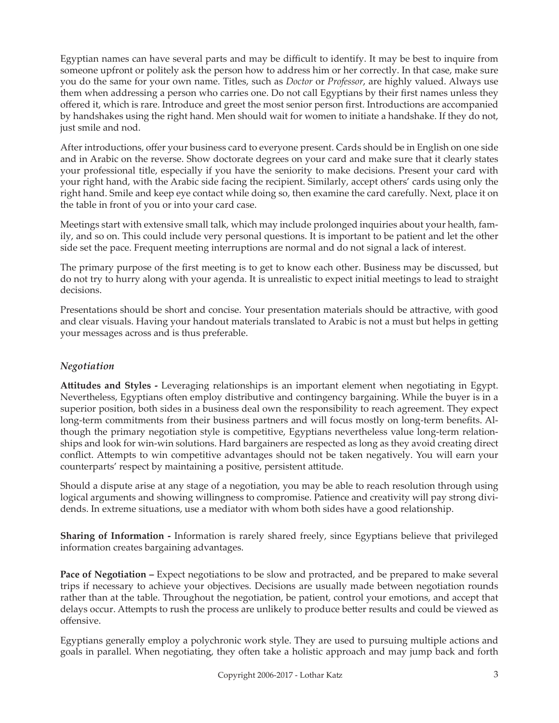Egyptian names can have several parts and may be difficult to identify. It may be best to inquire from someone upfront or politely ask the person how to address him or her correctly. In that case, make sure you do the same for your own name. Titles, such as *Doctor* or *Professor*, are highly valued. Always use them when addressing a person who carries one. Do not call Egyptians by their first names unless they offered it, which is rare. Introduce and greet the most senior person first. Introductions are accompanied by handshakes using the right hand. Men should wait for women to initiate a handshake. If they do not, just smile and nod.

After introductions, offer your business card to everyone present. Cards should be in English on one side and in Arabic on the reverse. Show doctorate degrees on your card and make sure that it clearly states your professional title, especially if you have the seniority to make decisions. Present your card with your right hand, with the Arabic side facing the recipient. Similarly, accept others' cards using only the right hand. Smile and keep eye contact while doing so, then examine the card carefully. Next, place it on the table in front of you or into your card case.

Meetings start with extensive small talk, which may include prolonged inquiries about your health, family, and so on. This could include very personal questions. It is important to be patient and let the other side set the pace. Frequent meeting interruptions are normal and do not signal a lack of interest.

The primary purpose of the first meeting is to get to know each other. Business may be discussed, but do not try to hurry along with your agenda. It is unrealistic to expect initial meetings to lead to straight decisions.

Presentations should be short and concise. Your presentation materials should be attractive, with good and clear visuals. Having your handout materials translated to Arabic is not a must but helps in getting your messages across and is thus preferable.

## *Negotiation*

**Attitudes and Styles -** Leveraging relationships is an important element when negotiating in Egypt. Nevertheless, Egyptians often employ distributive and contingency bargaining. While the buyer is in a superior position, both sides in a business deal own the responsibility to reach agreement. They expect long-term commitments from their business partners and will focus mostly on long-term benefits. Although the primary negotiation style is competitive, Egyptians nevertheless value long-term relationships and look for win-win solutions. Hard bargainers are respected as long as they avoid creating direct conflict. Attempts to win competitive advantages should not be taken negatively. You will earn your counterparts' respect by maintaining a positive, persistent attitude.

Should a dispute arise at any stage of a negotiation, you may be able to reach resolution through using logical arguments and showing willingness to compromise. Patience and creativity will pay strong dividends. In extreme situations, use a mediator with whom both sides have a good relationship.

**Sharing of Information -** Information is rarely shared freely, since Egyptians believe that privileged information creates bargaining advantages.

**Pace of Negotiation – Expect negotiations to be slow and protracted, and be prepared to make several** trips if necessary to achieve your objectives. Decisions are usually made between negotiation rounds rather than at the table. Throughout the negotiation, be patient, control your emotions, and accept that delays occur. Attempts to rush the process are unlikely to produce better results and could be viewed as offensive.

Egyptians generally employ a polychronic work style. They are used to pursuing multiple actions and goals in parallel. When negotiating, they often take a holistic approach and may jump back and forth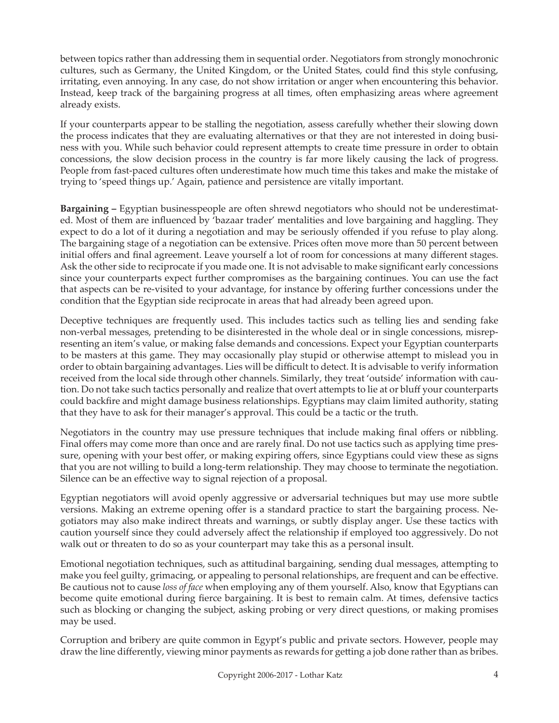between topics rather than addressing them in sequential order. Negotiators from strongly monochronic cultures, such as Germany, the United Kingdom, or the United States, could find this style confusing, irritating, even annoying. In any case, do not show irritation or anger when encountering this behavior. Instead, keep track of the bargaining progress at all times, often emphasizing areas where agreement already exists.

If your counterparts appear to be stalling the negotiation, assess carefully whether their slowing down the process indicates that they are evaluating alternatives or that they are not interested in doing business with you. While such behavior could represent attempts to create time pressure in order to obtain concessions, the slow decision process in the country is far more likely causing the lack of progress. People from fast-paced cultures often underestimate how much time this takes and make the mistake of trying to 'speed things up.' Again, patience and persistence are vitally important.

**Bargaining –** Egyptian businesspeople are often shrewd negotiators who should not be underestimated. Most of them are influenced by 'bazaar trader' mentalities and love bargaining and haggling. They expect to do a lot of it during a negotiation and may be seriously offended if you refuse to play along. The bargaining stage of a negotiation can be extensive. Prices often move more than 50 percent between initial offers and final agreement. Leave yourself a lot of room for concessions at many different stages. Ask the other side to reciprocate if you made one. It is not advisable to make significant early concessions since your counterparts expect further compromises as the bargaining continues. You can use the fact that aspects can be re-visited to your advantage, for instance by offering further concessions under the condition that the Egyptian side reciprocate in areas that had already been agreed upon.

Deceptive techniques are frequently used. This includes tactics such as telling lies and sending fake non-verbal messages, pretending to be disinterested in the whole deal or in single concessions, misrepresenting an item's value, or making false demands and concessions. Expect your Egyptian counterparts to be masters at this game. They may occasionally play stupid or otherwise attempt to mislead you in order to obtain bargaining advantages. Lies will be difficult to detect. It is advisable to verify information received from the local side through other channels. Similarly, they treat 'outside' information with caution. Do not take such tactics personally and realize that overt attempts to lie at or bluff your counterparts could backfire and might damage business relationships. Egyptians may claim limited authority, stating that they have to ask for their manager's approval. This could be a tactic or the truth.

Negotiators in the country may use pressure techniques that include making final offers or nibbling. Final offers may come more than once and are rarely final. Do not use tactics such as applying time pressure, opening with your best offer, or making expiring offers, since Egyptians could view these as signs that you are not willing to build a long-term relationship. They may choose to terminate the negotiation. Silence can be an effective way to signal rejection of a proposal.

Egyptian negotiators will avoid openly aggressive or adversarial techniques but may use more subtle versions. Making an extreme opening offer is a standard practice to start the bargaining process. Negotiators may also make indirect threats and warnings, or subtly display anger. Use these tactics with caution yourself since they could adversely affect the relationship if employed too aggressively. Do not walk out or threaten to do so as your counterpart may take this as a personal insult.

Emotional negotiation techniques, such as attitudinal bargaining, sending dual messages, attempting to make you feel guilty, grimacing, or appealing to personal relationships, are frequent and can be effective. Be cautious not to cause *loss of face* when employing any of them yourself. Also, know that Egyptians can become quite emotional during fierce bargaining. It is best to remain calm. At times, defensive tactics such as blocking or changing the subject, asking probing or very direct questions, or making promises may be used.

Corruption and bribery are quite common in Egypt's public and private sectors. However, people may draw the line differently, viewing minor payments as rewards for getting a job done rather than as bribes.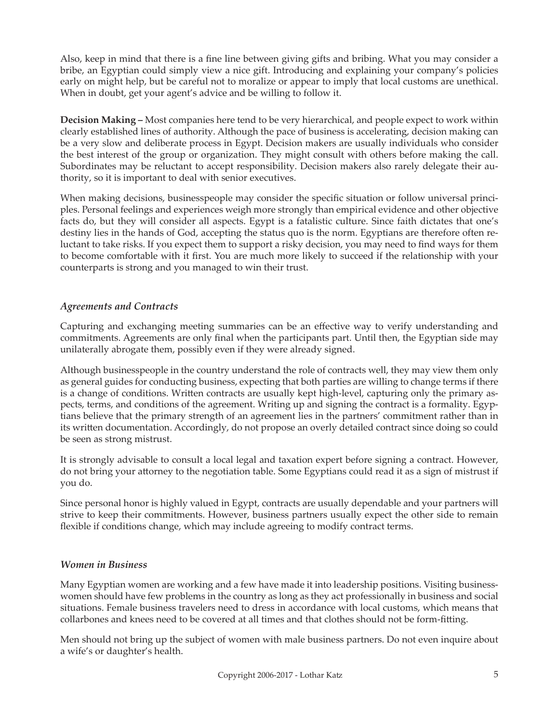Also, keep in mind that there is a fine line between giving gifts and bribing. What you may consider a bribe, an Egyptian could simply view a nice gift. Introducing and explaining your company's policies early on might help, but be careful not to moralize or appear to imply that local customs are unethical. When in doubt, get your agent's advice and be willing to follow it.

**Decision Making –** Most companies here tend to be very hierarchical, and people expect to work within clearly established lines of authority. Although the pace of business is accelerating, decision making can be a very slow and deliberate process in Egypt. Decision makers are usually individuals who consider the best interest of the group or organization. They might consult with others before making the call. Subordinates may be reluctant to accept responsibility. Decision makers also rarely delegate their authority, so it is important to deal with senior executives.

When making decisions, businesspeople may consider the specific situation or follow universal principles. Personal feelings and experiences weigh more strongly than empirical evidence and other objective facts do, but they will consider all aspects. Egypt is a fatalistic culture. Since faith dictates that one's destiny lies in the hands of God, accepting the status quo is the norm. Egyptians are therefore often reluctant to take risks. If you expect them to support a risky decision, you may need to find ways for them to become comfortable with it first. You are much more likely to succeed if the relationship with your counterparts is strong and you managed to win their trust.

## *Agreements and Contracts*

Capturing and exchanging meeting summaries can be an effective way to verify understanding and commitments. Agreements are only final when the participants part. Until then, the Egyptian side may unilaterally abrogate them, possibly even if they were already signed.

Although businesspeople in the country understand the role of contracts well, they may view them only as general guides for conducting business, expecting that both parties are willing to change terms if there is a change of conditions. Written contracts are usually kept high-level, capturing only the primary aspects, terms, and conditions of the agreement. Writing up and signing the contract is a formality. Egyptians believe that the primary strength of an agreement lies in the partners' commitment rather than in its written documentation. Accordingly, do not propose an overly detailed contract since doing so could be seen as strong mistrust.

It is strongly advisable to consult a local legal and taxation expert before signing a contract. However, do not bring your attorney to the negotiation table. Some Egyptians could read it as a sign of mistrust if you do.

Since personal honor is highly valued in Egypt, contracts are usually dependable and your partners will strive to keep their commitments. However, business partners usually expect the other side to remain flexible if conditions change, which may include agreeing to modify contract terms.

### *Women in Business*

Many Egyptian women are working and a few have made it into leadership positions. Visiting businesswomen should have few problems in the country as long as they act professionally in business and social situations. Female business travelers need to dress in accordance with local customs, which means that collarbones and knees need to be covered at all times and that clothes should not be form-fitting.

Men should not bring up the subject of women with male business partners. Do not even inquire about a wife's or daughter's health.